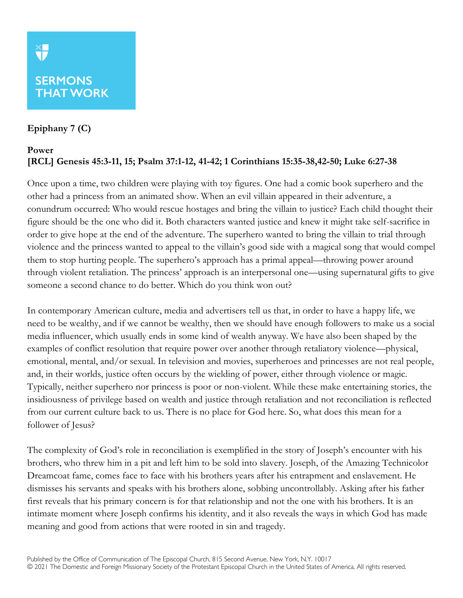## **Epiphany 7 (C)**

## **Power [RCL] Genesis 45:3-11, 15; Psalm 37:1-12, 41-42; 1 Corinthians 15:35-38,42-50; Luke 6:27-38**

Once upon a time, two children were playing with toy figures. One had a comic book superhero and the other had a princess from an animated show. When an evil villain appeared in their adventure, a conundrum occurred: Who would rescue hostages and bring the villain to justice? Each child thought their figure should be the one who did it. Both characters wanted justice and knew it might take self-sacrifice in order to give hope at the end of the adventure. The superhero wanted to bring the villain to trial through violence and the princess wanted to appeal to the villain's good side with a magical song that would compel them to stop hurting people. The superhero's approach has a primal appeal—throwing power around through violent retaliation. The princess' approach is an interpersonal one—using supernatural gifts to give someone a second chance to do better. Which do you think won out?

In contemporary American culture, media and advertisers tell us that, in order to have a happy life, we need to be wealthy, and if we cannot be wealthy, then we should have enough followers to make us a social media influencer, which usually ends in some kind of wealth anyway. We have also been shaped by the examples of conflict resolution that require power over another through retaliatory violence—physical, emotional, mental, and/or sexual. In television and movies, superheroes and princesses are not real people, and, in their worlds, justice often occurs by the wielding of power, either through violence or magic. Typically, neither superhero nor princess is poor or non-violent. While these make entertaining stories, the insidiousness of privilege based on wealth and justice through retaliation and not reconciliation is reflected from our current culture back to us. There is no place for God here. So, what does this mean for a follower of Jesus?

The complexity of God's role in reconciliation is exemplified in the story of Joseph's encounter with his brothers, who threw him in a pit and left him to be sold into slavery. Joseph, of the Amazing Technicolor Dreamcoat fame, comes face to face with his brothers years after his entrapment and enslavement. He dismisses his servants and speaks with his brothers alone, sobbing uncontrollably. Asking after his father first reveals that his primary concern is for that relationship and not the one with his brothers. It is an intimate moment where Joseph confirms his identity, and it also reveals the ways in which God has made meaning and good from actions that were rooted in sin and tragedy.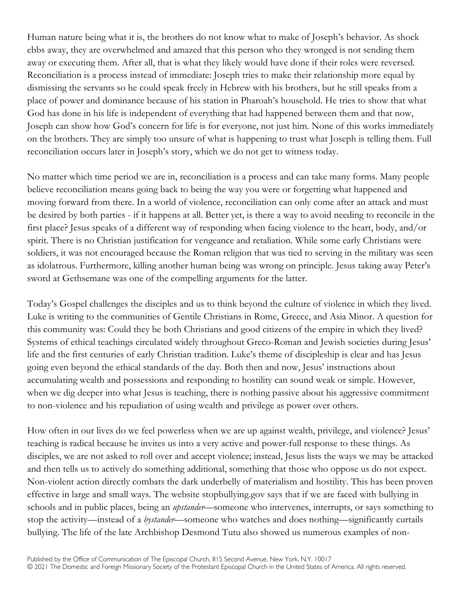Human nature being what it is, the brothers do not know what to make of Joseph's behavior. As shock ebbs away, they are overwhelmed and amazed that this person who they wronged is not sending them away or executing them. After all, that is what they likely would have done if their roles were reversed. Reconciliation is a process instead of immediate: Joseph tries to make their relationship more equal by dismissing the servants so he could speak freely in Hebrew with his brothers, but he still speaks from a place of power and dominance because of his station in Pharoah's household. He tries to show that what God has done in his life is independent of everything that had happened between them and that now, Joseph can show how God's concern for life is for everyone, not just him. None of this works immediately on the brothers. They are simply too unsure of what is happening to trust what Joseph is telling them. Full reconciliation occurs later in Joseph's story, which we do not get to witness today.

No matter which time period we are in, reconciliation is a process and can take many forms. Many people believe reconciliation means going back to being the way you were or forgetting what happened and moving forward from there. In a world of violence, reconciliation can only come after an attack and must be desired by both parties - if it happens at all. Better yet, is there a way to avoid needing to reconcile in the first place? Jesus speaks of a different way of responding when facing violence to the heart, body, and/or spirit. There is no Christian justification for vengeance and retaliation. While some early Christians were soldiers, it was not encouraged because the Roman religion that was tied to serving in the military was seen as idolatrous. Furthermore, killing another human being was wrong on principle. Jesus taking away Peter's sword at Gethsemane was one of the compelling arguments for the latter.

Today's Gospel challenges the disciples and us to think beyond the culture of violence in which they lived. Luke is writing to the communities of Gentile Christians in Rome, Greece, and Asia Minor. A question for this community was: Could they be both Christians and good citizens of the empire in which they lived? Systems of ethical teachings circulated widely throughout Greco-Roman and Jewish societies during Jesus' life and the first centuries of early Christian tradition. Luke's theme of discipleship is clear and has Jesus going even beyond the ethical standards of the day. Both then and now, Jesus' instructions about accumulating wealth and possessions and responding to hostility can sound weak or simple. However, when we dig deeper into what Jesus is teaching, there is nothing passive about his aggressive commitment to non-violence and his repudiation of using wealth and privilege as power over others.

How often in our lives do we feel powerless when we are up against wealth, privilege, and violence? Jesus' teaching is radical because he invites us into a very active and power-full response to these things. As disciples, we are not asked to roll over and accept violence; instead, Jesus lists the ways we may be attacked and then tells us to actively do something additional, something that those who oppose us do not expect. Non-violent action directly combats the dark underbelly of materialism and hostility. This has been proven effective in large and small ways. The website stopbullying.gov says that if we are faced with bullying in schools and in public places, being an *upstander*—someone who intervenes, interrupts, or says something to stop the activity—instead of a *bystander*—someone who watches and does nothing—significantly curtails bullying. The life of the late Archbishop Desmond Tutu also showed us numerous examples of non